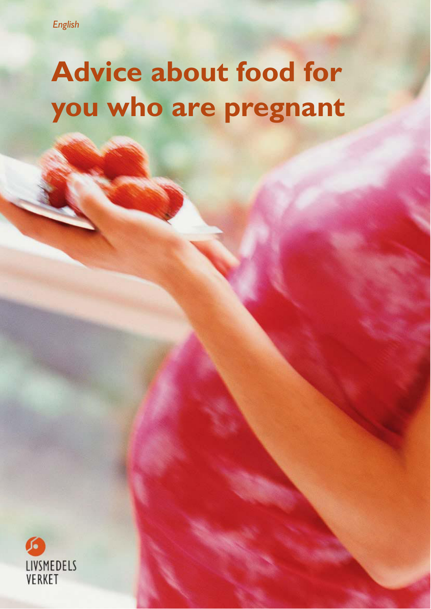# **Advice about food for you who are pregnant**

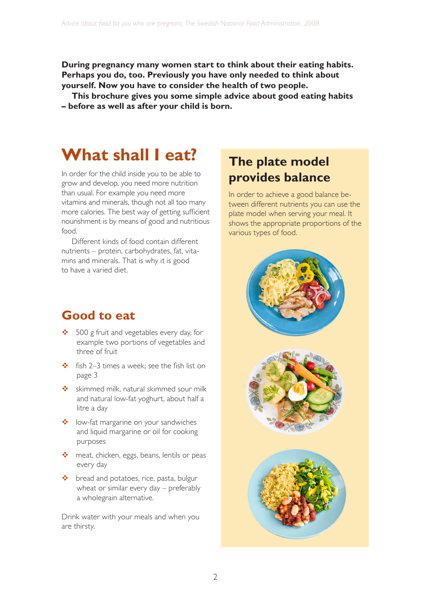**During pregnancy many women start to think about their eating habits. Perhaps you do, too. Previously you have only needed to think about yourself. Now you have to consider the health of two people.** 

**This brochure gives you some simple advice about good eating habits – before as well as after your child is born.**

### **What shall I eat?**

In order for the child inside you to be able to grow and develop, you need more nutrition than usual. For example you need more vitamins and minerals, though not all too many more calories. The best way of getting sufficient nourishment is by means of good and nutritious food.

Different kinds of food contain different nutrients – protein, carbohydrates, fat, vitamins and minerals. That is why it is good to have a varied diet.

### **Good to eat**

- ◆ 500 g fruit and vegetables every day, for example two portions of vegetables and three of fruit
- $\div$  fish 2–3 times a week; see the fish list on page 3
- $\div$  skimmed milk, natural skimmed sour milk and natural low-fat yoghurt, about half a litre a day
- ❖ low-fat margarine on your sandwiches and liquid margarine or oil for cooking purposes
- meat, chicken, eggs, beans, lentils or peas every day
- ◆ bread and potatoes, rice, pasta, bulgur wheat or similar every day – preferably a wholegrain alternative.

Drink water with your meals and when you are thirsty.

### **The plate model provides balance**

In order to achieve a good balance between different nutrients you can use the plate model when serving your meal. It shows the appropriate proportions of the various types of food.

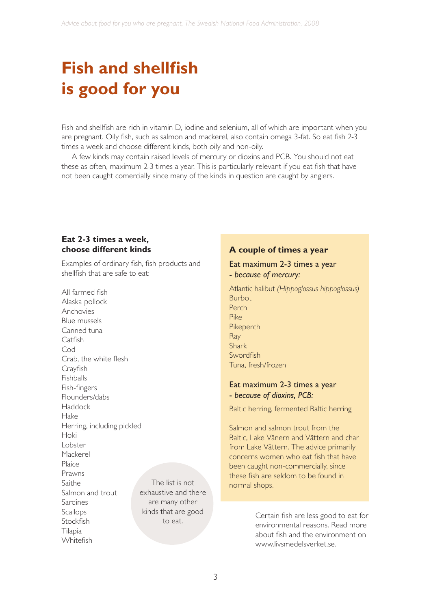# **Fish and shellfish is good for you**

Fish and shellfish are rich in vitamin D, iodine and selenium, all of which are important when you are pregnant. Oily fish, such as salmon and mackerel, also contain omega 3-fat. So eat fish 2-3 times a week and choose different kinds, both oily and non-oily.

A few kinds may contain raised levels of mercury or dioxins and PCB. You should not eat these as often, maximum 2-3 times a year. This is particularly relevant if you eat fish that have not been caught comercially since many of the kinds in question are caught by anglers.

### **Eat 2-3 times a week, choose different kinds**

Examples of ordinary fish, fish products and shellfish that are safe to eat:

All farmed fish Alaska pollock Anchovies Blue mussels Canned tuna Catfish Cod Crab, the white flesh Crayfish Fishballs Fish-fingers Flounders/dabs Haddock Hake Herring, including pickled Hoki Lobster Mackerel Plaice Prawns Saithe Salmon and trout Sardines Scallops **Stockfish** Tilapia Whitefish The list is not exhaustive and there are many other kinds that are good to eat.

### **A couple of times a year**

#### Eat maximum 2-3 times a year - *because of mercury:*

Atlantic halibut *(Hippoglossus hippoglossus)* Burbot Perch Pike Pikeperch Ray Shark Swordfish Tuna, fresh/frozen

#### Eat maximum 2-3 times a year - *because of dioxins, PCB:*

Baltic herring, fermented Baltic herring

Salmon and salmon trout from the Baltic, Lake Vänern and Vättern and char from Lake Vättern. The advice primarily concerns women who eat fish that have been caught non-commercially, since these fish are seldom to be found in normal shops.

> Certain fish are less good to eat for environmental reasons. Read more about fish and the environment on www.livsmedelsverket.se.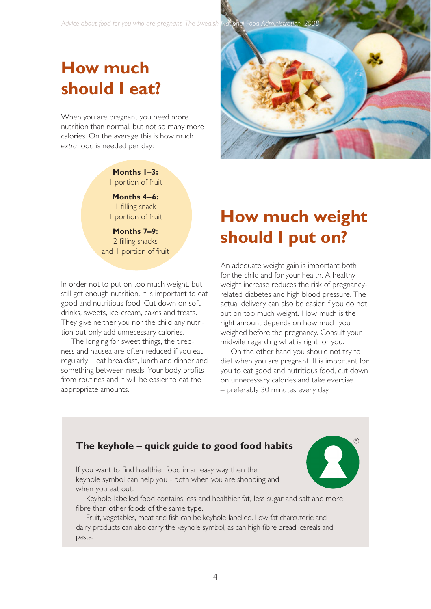## **How much should I eat?**

When you are pregnant you need more nutrition than normal, but not so many more calories. On the average this is how much *extra* food is needed per day:

### **Months 1–3:** 1 portion of fruit

**Months 4–6:** 1 filling snack 1 portion of fruit

**Months 7–9:** 2 filling snacks and 1 portion of fruit

In order not to put on too much weight, but still get enough nutrition, it is important to eat good and nutritious food. Cut down on soft drinks, sweets, ice-cream, cakes and treats. They give neither you nor the child any nutrition but only add unnecessary calories.

The longing for sweet things, the tiredness and nausea are often reduced if you eat regularly – eat breakfast, lunch and dinner and something between meals. Your body profits from routines and it will be easier to eat the appropriate amounts.



# **How much weight should I put on?**

An adequate weight gain is important both for the child and for your health. A healthy weight increase reduces the risk of pregnancyrelated diabetes and high blood pressure. The actual delivery can also be easier if you do not put on too much weight. How much is the right amount depends on how much you weighed before the pregnancy. Consult your midwife regarding what is right for you.

On the other hand you should not try to diet when you are pregnant. It is important for you to eat good and nutritious food, cut down on unnecessary calories and take exercise – preferably 30 minutes every day.

R

### **The keyhole – quick guide to good food habits**

If you want to find healthier food in an easy way then the keyhole symbol can help you - both when you are shopping and when you eat out.

Keyhole-labelled food contains less and healthier fat, less sugar and salt and more fibre than other foods of the same type.

Fruit, vegetables, meat and fish can be keyhole-labelled. Low-fat charcuterie and dairy products can also carry the keyhole symbol, as can high-fibre bread, cereals and pasta.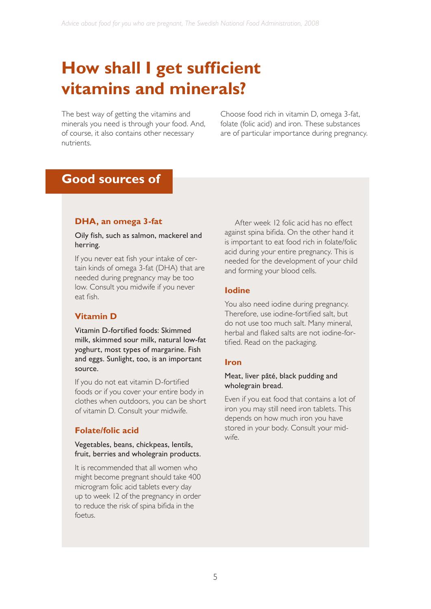# **How shall I get sufficient vitamins and minerals?**

The best way of getting the vitamins and minerals you need is through your food. And, of course, it also contains other necessary nutrients.

Choose food rich in vitamin D, omega 3-fat, folate (folic acid) and iron. These substances are of particular importance during pregnancy.

### **Good sources of**

### **DHA, an omega 3-fat**

#### Oily fish, such as salmon, mackerel and herring.

If you never eat fish your intake of certain kinds of omega 3-fat (DHA) that are needed during pregnancy may be too low. Consult you midwife if you never eat fish.

### **Vitamin D**

Vitamin D-fortified foods: Skimmed milk, skimmed sour milk, natural low-fat yoghurt, most types of margarine. Fish and eggs. Sunlight, too, is an important source.

If you do not eat vitamin D-fortified foods or if you cover your entire body in clothes when outdoors, you can be short of vitamin D. Consult your midwife.

### **Folate/folic acid**

#### Vegetables, beans, chickpeas, lentils, fruit, berries and wholegrain products.

It is recommended that all women who might become pregnant should take 400 microgram folic acid tablets every day up to week 12 of the pregnancy in order to reduce the risk of spina bifida in the foetus.

After week 12 folic acid has no effect against spina bifida. On the other hand it is important to eat food rich in folate/folic acid during your entire pregnancy. This is needed for the development of your child and forming your blood cells.

### **Iodine**

You also need iodine during pregnancy. Therefore, use iodine-fortified salt, but do not use too much salt. Many mineral, herbal and flaked salts are not iodine-fortified. Read on the packaging.

### **Iron**

#### Meat, liver pâté, black pudding and wholegrain bread.

Even if you eat food that contains a lot of iron you may still need iron tablets. This depends on how much iron you have stored in your body. Consult your midwife.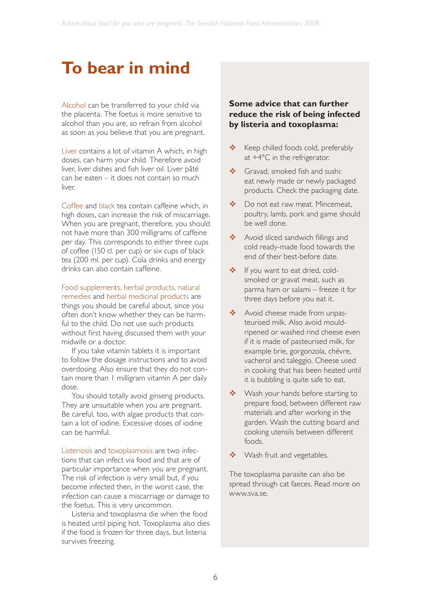### **To bear in mind**

Alcohol can be transferred to your child via the placenta. The foetus is more sensitive to alcohol than you are, so refrain from alcohol as soon as you believe that you are pregnant.

Liver contains a lot of vitamin A which, in high doses, can harm your child. Therefore avoid liver, liver dishes and fish liver oil. Liver pâté can be eaten – it does not contain so much liver.

Coffee and black tea contain caffeine which, in high doses, can increase the risk of miscarriage. When you are pregnant, therefore, you should not have more than 300 milligrams of caffeine per day. This corresponds to either three cups of coffee (150 cl. per cup) or six cups of black tea (200 ml. per cup). Cola drinks and energy drinks can also contain caffeine.

Food supplements, herbal products, natural remedies and herbal medicinal products are

things you should be careful about, since you often don't know whether they can be harmful to the child. Do not use such products without first having discussed them with your midwife or a doctor.

If you take vitamin tablets it is important to follow the dosage instructions and to avoid overdosing. Also ensure that they do not contain more than 1 milligram vitamin A per daily dose.

You should totally avoid ginseng products. They are unsuitable when you are pregnant. Be careful, too, with algae products that contain a lot of iodine. Excessive doses of iodine can be harmful.

Listeriosis and toxoplasmosis are two infections that can infect via food and that are of particular importance when you are pregnant. The risk of infection is very small but, if you become infected then, in the worst case, the infection can cause a miscarriage or damage to the foetus. This is very uncommon.

Listeria and toxoplasma die when the food is heated until piping hot. Toxoplasma also dies if the food is frozen for three days, but listeria survives freezing.

### **Some advice that can further reduce the risk of being infected by listeria and toxoplasma:**

- $\div$  Keep chilled foods cold, preferably at +4°C in the refrigerator.
- Gravad, smoked fish and sushi: eat newly made or newly packaged products. Check the packaging date.
- ◆ Do not eat raw meat. Mincemeat, poultry, lamb, pork and game should be well done.
- Avoid sliced sandwich fillings and cold ready-made food towards the end of their best-before date.
- ❖ If you want to eat dried, coldsmoked or gravat meat, such as parma ham or salami – freeze it for three days before you eat it.
- \* Avoid cheese made from unpasteurised milk. Also avoid mouldripened or washed rind cheese even if it is made of pasteurised milk, for example brie, gorgonzola, chèvre, vacherol and taleggio. Cheese used in cooking that has been heated until it is bubbling is quite safe to eat.
- ◆ Wash your hands before starting to prepare food, between different raw materials and after working in the garden. Wash the cutting board and cooking utensils between different foods.
- ◆ Wash fruit and vegetables.

The toxoplasma parasite can also be spread through cat faeces. Read more on www.sva.se.